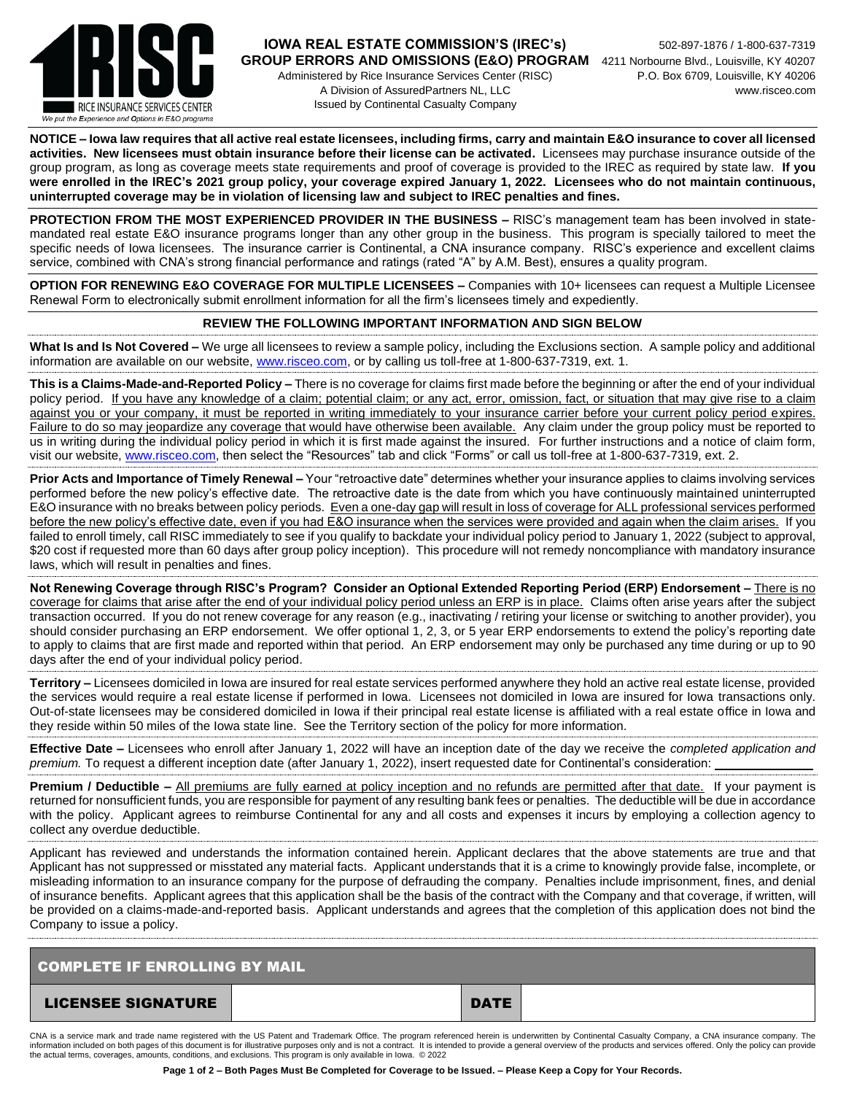

## **IOWA REAL ESTATE COMMISSION'S (IREC's)** 502-897-1876 / 1-800-637-7319 **GROUP ERRORS AND OMISSIONS (E&O) PROGRAM** 4211 Norbourne Blvd., Louisville, KY 40207 Administered by Rice Insurance Services Center (RISC) P.O. Box 6709, Louisville, KY 40206

A Division of AssuredPartners NL, LLC www.risceo.com Issued by Continental Casualty Company

**NOTICE – Iowa law requires that all active real estate licensees, including firms, carry and maintain E&O insurance to cover all licensed activities. New licensees must obtain insurance before their license can be activated.** Licensees may purchase insurance outside of the group program, as long as coverage meets state requirements and proof of coverage is provided to the IREC as required by state law. **If you were enrolled in the IREC's 2021 group policy, your coverage expired January 1, 2022. Licensees who do not maintain continuous, uninterrupted coverage may be in violation of licensing law and subject to IREC penalties and fines.**

**PROTECTION FROM THE MOST EXPERIENCED PROVIDER IN THE BUSINESS –** RISC's management team has been involved in statemandated real estate E&O insurance programs longer than any other group in the business. This program is specially tailored to meet the specific needs of Iowa licensees. The insurance carrier is Continental, a CNA insurance company. RISC's experience and excellent claims service, combined with CNA's strong financial performance and ratings (rated "A" by A.M. Best), ensures a quality program.

**OPTION FOR RENEWING E&O COVERAGE FOR MULTIPLE LICENSEES –** Companies with 10+ licensees can request a Multiple Licensee Renewal Form to electronically submit enrollment information for all the firm's licensees timely and expediently.

## **REVIEW THE FOLLOWING IMPORTANT INFORMATION AND SIGN BELOW**

**What Is and Is Not Covered –** We urge all licensees to review a sample policy, including the Exclusions section. A sample policy and additional information are available on our website[, www.risceo.com,](http://www.risceo.com/) or by calling us toll-free at 1-800-637-7319, ext. 1.

**This is a Claims-Made-and-Reported Policy –** There is no coverage for claims first made before the beginning or after the end of your individual policy period. If you have any knowledge of a claim; potential claim; or any act, error, omission, fact, or situation that may give rise to a claim against you or your company, it must be reported in writing immediately to your insurance carrier before your current policy period expires. Failure to do so may jeopardize any coverage that would have otherwise been available. Any claim under the group policy must be reported to us in writing during the individual policy period in which it is first made against the insured. For further instructions and a notice of claim form, visit our website[, www.risceo.com,](http://www.risceo.com/notice-of-claim-form) then select the "Resources" tab and click "Forms" or call us toll-free at 1-800-637-7319, ext. 2.

**Prior Acts and Importance of Timely Renewal –** Your "retroactive date" determines whether your insurance applies to claims involving services performed before the new policy's effective date. The retroactive date is the date from which you have continuously maintained uninterrupted E&O insurance with no breaks between policy periods. Even a one-day gap will result in loss of coverage for ALL professional services performed before the new policy's effective date, even if you had E&O insurance when the services were provided and again when the claim arises. If you failed to enroll timely, call RISC immediately to see if you qualify to backdate your individual policy period to January 1, 2022 (subject to approval, \$20 cost if requested more than 60 days after group policy inception). This procedure will not remedy noncompliance with mandatory insurance laws, which will result in penalties and fines.

**Not Renewing Coverage through RISC's Program? Consider an Optional Extended Reporting Period (ERP) Endorsement –** There is no coverage for claims that arise after the end of your individual policy period unless an ERP is in place. Claims often arise years after the subject transaction occurred. If you do not renew coverage for any reason (e.g., inactivating / retiring your license or switching to another provider), you should consider purchasing an ERP endorsement. We offer optional 1, 2, 3, or 5 year ERP endorsements to extend the policy's reporting date to apply to claims that are first made and reported within that period. An ERP endorsement may only be purchased any time during or up to 90 days after the end of your individual policy period.

**Territory –** Licensees domiciled in Iowa are insured for real estate services performed anywhere they hold an active real estate license, provided the services would require a real estate license if performed in Iowa. Licensees not domiciled in Iowa are insured for Iowa transactions only. Out-of-state licensees may be considered domiciled in Iowa if their principal real estate license is affiliated with a real estate office in Iowa and they reside within 50 miles of the Iowa state line. See the Territory section of the policy for more information.

**Effective Date –** Licensees who enroll after January 1, 2022 will have an inception date of the day we receive the *completed application and premium.* To request a different inception date (after January 1, 2022), insert requested date for Continental's consideration:

**Premium / Deductible** – All premiums are fully earned at policy inception and no refunds are permitted after that date. If your payment is returned for nonsufficient funds, you are responsible for payment of any resulting bank fees or penalties. The deductible will be due in accordance with the policy. Applicant agrees to reimburse Continental for any and all costs and expenses it incurs by employing a collection agency to collect any overdue deductible.

Applicant has reviewed and understands the information contained herein. Applicant declares that the above statements are true and that Applicant has not suppressed or misstated any material facts. Applicant understands that it is a crime to knowingly provide false, incomplete, or misleading information to an insurance company for the purpose of defrauding the company. Penalties include imprisonment, fines, and denial of insurance benefits. Applicant agrees that this application shall be the basis of the contract with the Company and that coverage, if written, will be provided on a claims-made-and-reported basis. Applicant understands and agrees that the completion of this application does not bind the Company to issue a policy.

| <b>COMPLETE IF ENROLLING BY MAIL</b> |  |             |  |  |  |  |  |
|--------------------------------------|--|-------------|--|--|--|--|--|
| <b>LICENSEE SIGNATURE</b>            |  | <b>DATE</b> |  |  |  |  |  |

CNA is a service mark and trade name registered with the US Patent and Trademark Office. The program referenced herein is underwritten by Continental Casualty Company, a CNA insurance company. The information included on both pages of this document is for illustrative purposes only and is not a contract. It is intended to provide a general overview of the products and services offered. Only the policy can provide<br>th